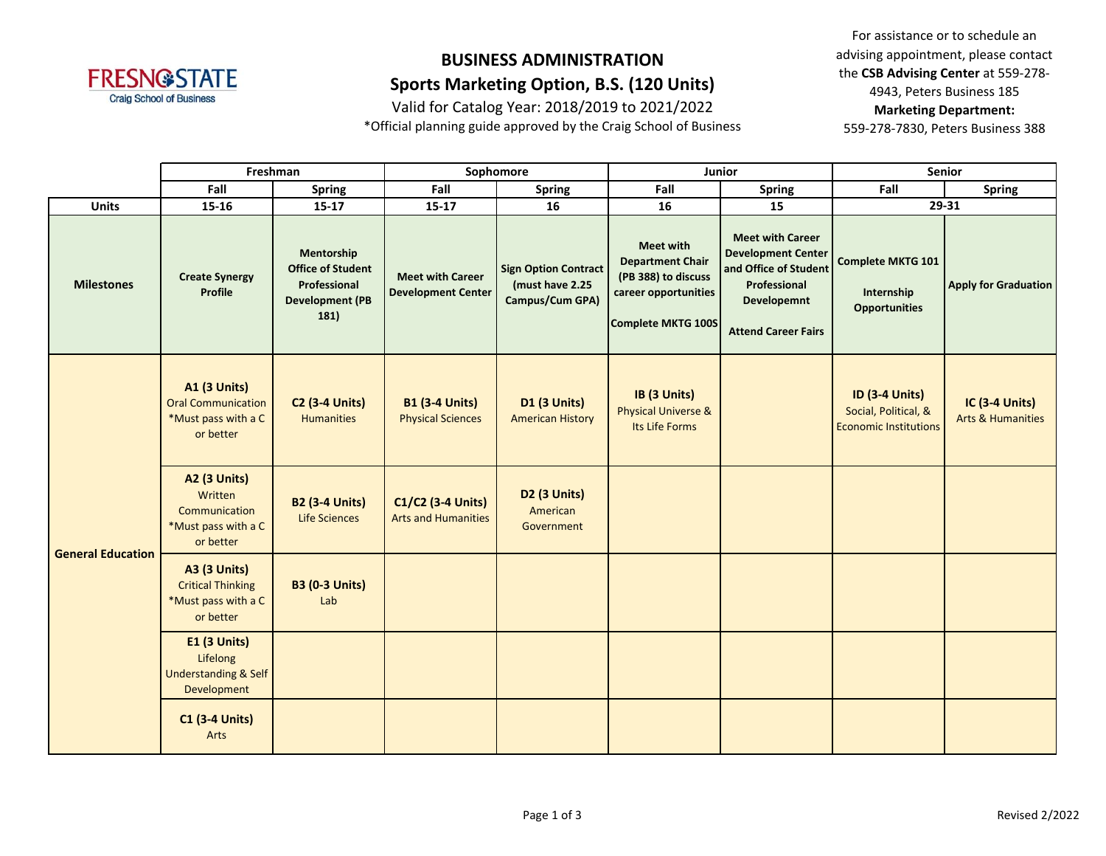

### **Sports Marketing Option, B.S. (120 Units)**

Valid for Catalog Year: 2018/2019 to 2021/2022

\*Official planning guide approved by the Craig School of Business

For assistance or to schedule an advising appointment, please contact the **CSB Advising Center** at 559-278- 4943, Peters Business 185 **Marketing Department:**  559-278-7830, Peters Business 388

|                          | Freshman                                                                             |                                                                                                 | Sophomore                                            |                                                                   | Junior                                                                                                                  |                                                                                                                                            | Senior                                                                        |                                                       |
|--------------------------|--------------------------------------------------------------------------------------|-------------------------------------------------------------------------------------------------|------------------------------------------------------|-------------------------------------------------------------------|-------------------------------------------------------------------------------------------------------------------------|--------------------------------------------------------------------------------------------------------------------------------------------|-------------------------------------------------------------------------------|-------------------------------------------------------|
|                          | Fall                                                                                 | Spring                                                                                          | Fall                                                 | <b>Spring</b>                                                     | Fall                                                                                                                    | <b>Spring</b>                                                                                                                              | Fall                                                                          | Spring                                                |
| <b>Units</b>             | $15 - 16$                                                                            | $15 - 17$                                                                                       | $15 - 17$                                            | 16                                                                | 16                                                                                                                      | 15                                                                                                                                         |                                                                               | 29-31                                                 |
| <b>Milestones</b>        | <b>Create Synergy</b><br><b>Profile</b>                                              | Mentorship<br><b>Office of Student</b><br><b>Professional</b><br><b>Development (PB</b><br>181) | <b>Meet with Career</b><br><b>Development Center</b> | <b>Sign Option Contract</b><br>(must have 2.25<br>Campus/Cum GPA) | <b>Meet with</b><br><b>Department Chair</b><br>(PB 388) to discuss<br>career opportunities<br><b>Complete MKTG 100S</b> | <b>Meet with Career</b><br><b>Development Center</b><br>and Office of Student<br>Professional<br>Developemnt<br><b>Attend Career Fairs</b> | <b>Complete MKTG 101</b><br>Internship<br><b>Opportunities</b>                | <b>Apply for Graduation</b>                           |
| <b>General Education</b> | <b>A1 (3 Units)</b><br><b>Oral Communication</b><br>*Must pass with a C<br>or better | <b>C2 (3-4 Units)</b><br><b>Humanities</b>                                                      | <b>B1 (3-4 Units)</b><br><b>Physical Sciences</b>    | <b>D1 (3 Units)</b><br><b>American History</b>                    | IB (3 Units)<br><b>Physical Universe &amp;</b><br>Its Life Forms                                                        |                                                                                                                                            | <b>ID (3-4 Units)</b><br>Social, Political, &<br><b>Economic Institutions</b> | <b>IC (3-4 Units)</b><br><b>Arts &amp; Humanities</b> |
|                          | <b>A2 (3 Units)</b><br>Written<br>Communication<br>*Must pass with a C<br>or better  | <b>B2 (3-4 Units)</b><br><b>Life Sciences</b>                                                   | C1/C2 (3-4 Units)<br><b>Arts and Humanities</b>      | D <sub>2</sub> (3 Units)<br>American<br>Government                |                                                                                                                         |                                                                                                                                            |                                                                               |                                                       |
|                          | <b>A3 (3 Units)</b><br><b>Critical Thinking</b><br>*Must pass with a C<br>or better  | <b>B3 (0-3 Units)</b><br>Lab                                                                    |                                                      |                                                                   |                                                                                                                         |                                                                                                                                            |                                                                               |                                                       |
|                          | <b>E1 (3 Units)</b><br>Lifelong<br><b>Understanding &amp; Self</b><br>Development    |                                                                                                 |                                                      |                                                                   |                                                                                                                         |                                                                                                                                            |                                                                               |                                                       |
|                          | <b>C1 (3-4 Units)</b><br>Arts                                                        |                                                                                                 |                                                      |                                                                   |                                                                                                                         |                                                                                                                                            |                                                                               |                                                       |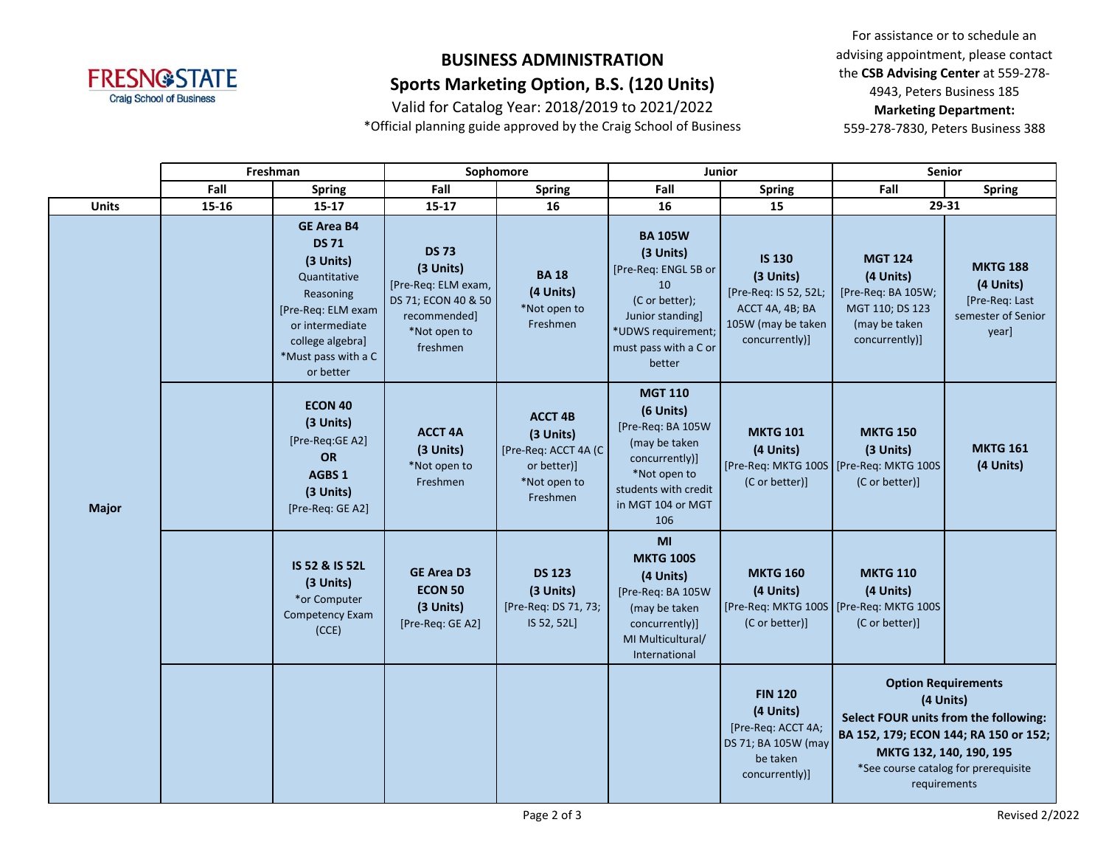

### **Sports Marketing Option, B.S. (120 Units)**

Valid for Catalog Year: 2018/2019 to 2021/2022

\*Official planning guide approved by the Craig School of Business

For assistance or to schedule an advising appointment, please contact the **CSB Advising Center** at 559-278- 4943, Peters Business 185 **Marketing Department:**  559-278-7830, Peters Business 388

|              | Freshman |                                                                                                                                                                              | Sophomore                                                                                                           |                                                                                                 | Junior                                                                                                                                                   |                                                                                                                | Senior                                                                                                                                                                                                       |                                                                               |
|--------------|----------|------------------------------------------------------------------------------------------------------------------------------------------------------------------------------|---------------------------------------------------------------------------------------------------------------------|-------------------------------------------------------------------------------------------------|----------------------------------------------------------------------------------------------------------------------------------------------------------|----------------------------------------------------------------------------------------------------------------|--------------------------------------------------------------------------------------------------------------------------------------------------------------------------------------------------------------|-------------------------------------------------------------------------------|
|              | Fall     | <b>Spring</b>                                                                                                                                                                | Fall                                                                                                                | <b>Spring</b>                                                                                   | Fall                                                                                                                                                     | <b>Spring</b>                                                                                                  | Fall                                                                                                                                                                                                         | <b>Spring</b>                                                                 |
| <b>Units</b> | 15-16    | $15 - 17$                                                                                                                                                                    | $15 - 17$                                                                                                           | 16                                                                                              | 16                                                                                                                                                       | 15                                                                                                             | 29-31                                                                                                                                                                                                        |                                                                               |
|              |          | <b>GE Area B4</b><br><b>DS 71</b><br>(3 Units)<br>Quantitative<br>Reasoning<br>[Pre-Req: ELM exam<br>or intermediate<br>college algebra]<br>*Must pass with a C<br>or better | <b>DS 73</b><br>(3 Units)<br>[Pre-Req: ELM exam,<br>DS 71; ECON 40 & 50<br>recommended]<br>*Not open to<br>freshmen | <b>BA18</b><br>(4 Units)<br>*Not open to<br>Freshmen                                            | <b>BA 105W</b><br>(3 Units)<br>[Pre-Req: ENGL 5B or<br>10<br>(C or better);<br>Junior standing]<br>*UDWS requirement;<br>must pass with a C or<br>better | <b>IS 130</b><br>(3 Units)<br>[Pre-Req: IS 52, 52L;<br>ACCT 4A, 4B; BA<br>105W (may be taken<br>concurrently)] | <b>MGT 124</b><br>(4 Units)<br>[Pre-Req: BA 105W;<br>MGT 110; DS 123<br>(may be taken<br>concurrently)]                                                                                                      | <b>MKTG 188</b><br>(4 Units)<br>[Pre-Req: Last<br>semester of Senior<br>year] |
| <b>Major</b> |          | <b>ECON 40</b><br>(3 Units)<br>[Pre-Req:GE A2]<br>OR<br>AGBS <sub>1</sub><br>(3 Units)<br>[Pre-Req: GE A2]                                                                   | <b>ACCT 4A</b><br>(3 Units)<br>*Not open to<br>Freshmen                                                             | <b>ACCT 4B</b><br>(3 Units)<br>[Pre-Req: ACCT 4A (C)<br>or better)]<br>*Not open to<br>Freshmen | <b>MGT 110</b><br>(6 Units)<br>[Pre-Req: BA 105W<br>(may be taken<br>concurrently)]<br>*Not open to<br>students with credit<br>in MGT 104 or MGT<br>106  | <b>MKTG 101</b><br>(4 Units)<br>[Pre-Req: MKTG 100S   [Pre-Req: MKTG 100S<br>(C or better)]                    | <b>MKTG 150</b><br>(3 Units)<br>(C or better)]                                                                                                                                                               | <b>MKTG 161</b><br>(4 Units)                                                  |
|              |          | IS 52 & IS 52L<br>(3 Units)<br>*or Computer<br><b>Competency Exam</b><br>(CCE)                                                                                               | <b>GE Area D3</b><br><b>ECON 50</b><br>(3 Units)<br>[Pre-Req: GE A2]                                                | <b>DS 123</b><br>(3 Units)<br>[Pre-Req: DS 71, 73;<br>IS 52, 52L]                               | MI<br><b>MKTG 100S</b><br>(4 Units)<br>[Pre-Req: BA 105W<br>(may be taken<br>concurrently)]<br>MI Multicultural/<br>International                        | <b>MKTG 160</b><br>(4 Units)<br>[Pre-Req: MKTG 100S   [Pre-Req: MKTG 100S<br>(C or better)]                    | <b>MKTG 110</b><br>(4 Units)<br>(C or better)]                                                                                                                                                               |                                                                               |
|              |          |                                                                                                                                                                              |                                                                                                                     |                                                                                                 |                                                                                                                                                          | <b>FIN 120</b><br>(4 Units)<br>[Pre-Req: ACCT 4A;<br>DS 71; BA 105W (may<br>be taken<br>concurrently)]         | <b>Option Requirements</b><br>(4 Units)<br>Select FOUR units from the following:<br>BA 152, 179; ECON 144; RA 150 or 152;<br>MKTG 132, 140, 190, 195<br>*See course catalog for prerequisite<br>requirements |                                                                               |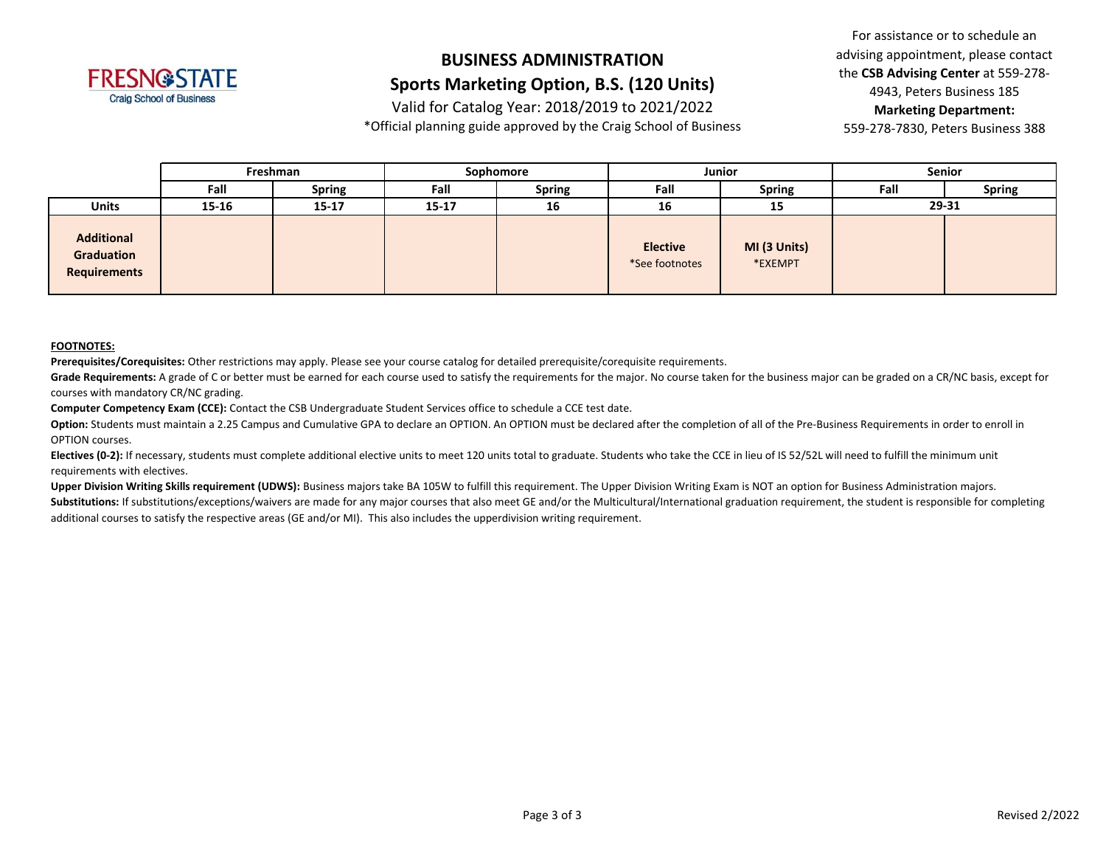

#### **Sports Marketing Option, B.S. (120 Units)**

Valid for Catalog Year: 2018/2019 to 2021/2022

\*Official planning guide approved by the Craig School of Business

For assistance or to schedule an advising appointment, please contact the **CSB Advising Center** at 559-278- 4943, Peters Business 185 **Marketing Department:**  559-278-7830, Peters Business 388

|                                                        | Freshman  |               | Sophomore |               | <b>Junior</b>                     |                         | Senior |               |
|--------------------------------------------------------|-----------|---------------|-----------|---------------|-----------------------------------|-------------------------|--------|---------------|
|                                                        | Fall      | <b>Spring</b> | Fall      | <b>Spring</b> | Fall                              | <b>Spring</b>           | Fall   | <b>Spring</b> |
| <b>Units</b>                                           | $15 - 16$ | $15 - 17$     | $15 - 17$ | 16            | 16                                | 15                      |        | 29-31         |
| <b>Additional</b><br>Graduation<br><b>Requirements</b> |           |               |           |               | <b>Elective</b><br>*See footnotes | MI (3 Units)<br>*EXEMPT |        |               |

#### **FOOTNOTES:**

**Prerequisites/Corequisites:** Other restrictions may apply. Please see your course catalog for detailed prerequisite/corequisite requirements.

Grade Requirements: A grade of C or better must be earned for each course used to satisfy the requirements for the major. No course taken for the business major can be graded on a CR/NC basis, except for courses with mandatory CR/NC grading.

**Computer Competency Exam (CCE):** Contact the CSB Undergraduate Student Services office to schedule a CCE test date.

Option: Students must maintain a 2.25 Campus and Cumulative GPA to declare an OPTION. An OPTION must be declared after the completion of all of the Pre-Business Requirements in order to enroll in OPTION courses.

Electives (0-2): If necessary, students must complete additional elective units to meet 120 units total to graduate. Students who take the CCE in lieu of IS 52/52L will need to fulfill the minimum unit requirements with electives.

Upper Division Writing Skills requirement (UDWS): Business majors take BA 105W to fulfill this requirement. The Upper Division Writing Exam is NOT an option for Business Administration majors. Substitutions: If substitutions/exceptions/waivers are made for any major courses that also meet GE and/or the Multicultural/International graduation requirement, the student is responsible for completing additional courses to satisfy the respective areas (GE and/or MI). This also includes the upperdivision writing requirement.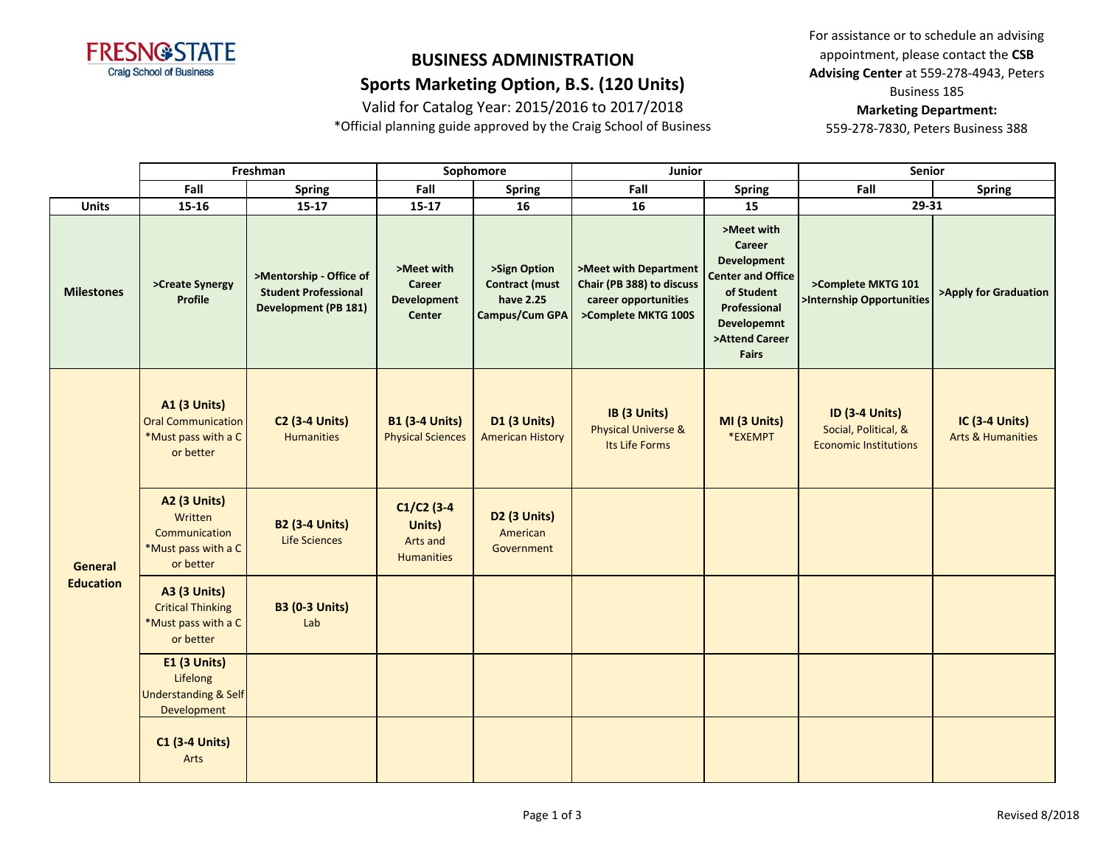

#### **BUSINESS ADMINISTRATION Sports Marketing Option, B.S. (120 Units)**

Valid for Catalog Year: 2015/2016 to 2017/2018

\*Official planning guide approved by the Craig School of Business

For assistance or to schedule an advising appointment, please contact the **CSB Advising Center** at 559-278-4943, Peters Business 185

**Marketing Department:** 

559-278-7830, Peters Business 388

|                                    | Freshman                                                                             |                                                                                       | Sophomore                                                                                                                                                                                                                                                                           |                                                                      | Junior                                                                                            |                                                                                                                                                              | Senior                                          |                       |
|------------------------------------|--------------------------------------------------------------------------------------|---------------------------------------------------------------------------------------|-------------------------------------------------------------------------------------------------------------------------------------------------------------------------------------------------------------------------------------------------------------------------------------|----------------------------------------------------------------------|---------------------------------------------------------------------------------------------------|--------------------------------------------------------------------------------------------------------------------------------------------------------------|-------------------------------------------------|-----------------------|
|                                    | Fall                                                                                 | <b>Spring</b>                                                                         | Fall                                                                                                                                                                                                                                                                                | <b>Spring</b>                                                        | Fall                                                                                              | <b>Spring</b>                                                                                                                                                | Fall                                            | <b>Spring</b>         |
| <b>Units</b>                       | $15 - 16$                                                                            | $15 - 17$                                                                             | $15 - 17$                                                                                                                                                                                                                                                                           | 16                                                                   | 16                                                                                                | 15                                                                                                                                                           | 29-31                                           |                       |
| <b>Milestones</b>                  | >Create Synergy<br><b>Profile</b>                                                    | >Mentorship - Office of<br><b>Student Professional</b><br><b>Development (PB 181)</b> | >Meet with<br><b>Career</b><br><b>Development</b><br><b>Center</b>                                                                                                                                                                                                                  | >Sign Option<br><b>Contract (must</b><br>have 2.25<br>Campus/Cum GPA | >Meet with Department<br>Chair (PB 388) to discuss<br>career opportunities<br>>Complete MKTG 100S | >Meet with<br>Career<br><b>Development</b><br><b>Center and Office</b><br>of Student<br>Professional<br><b>Developemnt</b><br>>Attend Career<br><b>Fairs</b> | >Complete MKTG 101<br>>Internship Opportunities | >Apply for Graduation |
|                                    | <b>A1 (3 Units)</b><br><b>Oral Communication</b><br>*Must pass with a C<br>or better | <b>C2 (3-4 Units)</b><br><b>Humanities</b>                                            | IB (3 Units)<br><b>ID (3-4 Units)</b><br><b>B1 (3-4 Units)</b><br><b>D1 (3 Units)</b><br>MI (3 Units)<br><b>Physical Universe &amp;</b><br>Social, Political, &<br>*EXEMPT<br><b>Physical Sciences</b><br><b>American History</b><br>Its Life Forms<br><b>Economic Institutions</b> |                                                                      | <b>IC (3-4 Units)</b><br><b>Arts &amp; Humanities</b>                                             |                                                                                                                                                              |                                                 |                       |
| <b>General</b><br><b>Education</b> | <b>A2 (3 Units)</b><br>Written<br>Communication<br>*Must pass with a C<br>or better  | <b>B2 (3-4 Units)</b><br><b>Life Sciences</b>                                         | $C1/C2$ (3-4<br>Units)<br>Arts and<br><b>Humanities</b>                                                                                                                                                                                                                             | <b>D2 (3 Units)</b><br>American<br>Government                        |                                                                                                   |                                                                                                                                                              |                                                 |                       |
|                                    | <b>A3 (3 Units)</b><br><b>Critical Thinking</b><br>*Must pass with a C<br>or better  | <b>B3 (0-3 Units)</b><br>Lab                                                          |                                                                                                                                                                                                                                                                                     |                                                                      |                                                                                                   |                                                                                                                                                              |                                                 |                       |
|                                    | <b>E1 (3 Units)</b><br>Lifelong<br><b>Understanding &amp; Self</b><br>Development    |                                                                                       |                                                                                                                                                                                                                                                                                     |                                                                      |                                                                                                   |                                                                                                                                                              |                                                 |                       |
|                                    | <b>C1 (3-4 Units)</b><br>Arts                                                        |                                                                                       |                                                                                                                                                                                                                                                                                     |                                                                      |                                                                                                   |                                                                                                                                                              |                                                 |                       |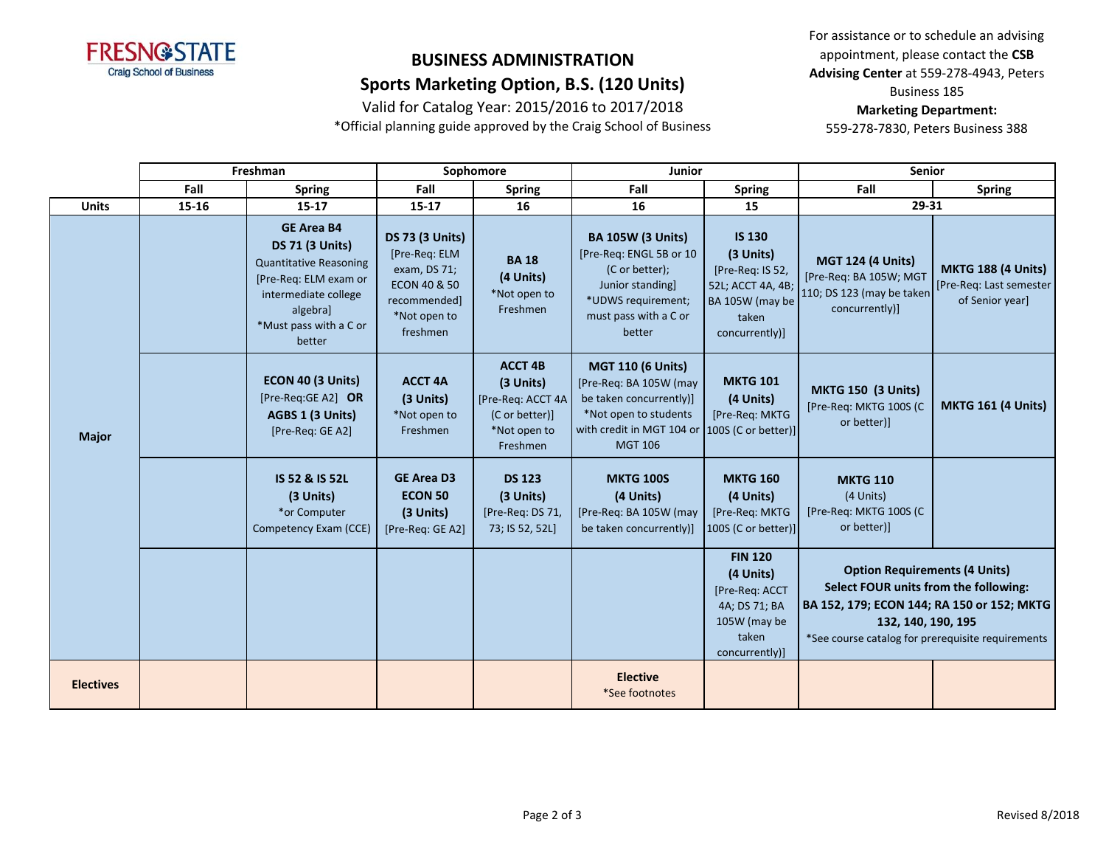

**Sports Marketing Option, B.S. (120 Units)**

Valid for Catalog Year: 2015/2016 to 2017/2018 \*Official planning guide approved by the Craig School of Business For assistance or to schedule an advising appointment, please contact the **CSB Advising Center** at 559-278-4943, Peters Business 185

**Marketing Department:** 

559-278-7830, Peters Business 388

|                  | Freshman |                                                                                                                                                                               | Sophomore                                                                                                                      |                                                                                                  | Junior                                                                                                                                                |                                                                                                                   | <b>Senior</b>                                                                                                                                                                                          |                                                                         |
|------------------|----------|-------------------------------------------------------------------------------------------------------------------------------------------------------------------------------|--------------------------------------------------------------------------------------------------------------------------------|--------------------------------------------------------------------------------------------------|-------------------------------------------------------------------------------------------------------------------------------------------------------|-------------------------------------------------------------------------------------------------------------------|--------------------------------------------------------------------------------------------------------------------------------------------------------------------------------------------------------|-------------------------------------------------------------------------|
|                  | Fall     | <b>Spring</b>                                                                                                                                                                 | Fall                                                                                                                           | <b>Spring</b>                                                                                    | Fall                                                                                                                                                  | <b>Spring</b>                                                                                                     | Fall                                                                                                                                                                                                   | <b>Spring</b>                                                           |
| <b>Units</b>     | 15-16    | $15 - 17$                                                                                                                                                                     | $15 - 17$                                                                                                                      | 16                                                                                               | 16                                                                                                                                                    | 15                                                                                                                | 29-31                                                                                                                                                                                                  |                                                                         |
| <b>Major</b>     |          | <b>GE Area B4</b><br><b>DS 71 (3 Units)</b><br><b>Quantitative Reasoning</b><br>[Pre-Req: ELM exam or<br>intermediate college<br>algebra]<br>*Must pass with a C or<br>better | <b>DS 73 (3 Units)</b><br>[Pre-Req: ELM<br>exam, DS 71;<br><b>ECON 40 &amp; 50</b><br>recommended]<br>*Not open to<br>freshmen | <b>BA18</b><br>(4 Units)<br>*Not open to<br>Freshmen                                             | <b>BA 105W (3 Units)</b><br>[Pre-Reg: ENGL 5B or 10<br>(C or better);<br>Junior standing]<br>*UDWS requirement;<br>must pass with a C or<br>better    | <b>IS 130</b><br>(3 Units)<br>[Pre-Req: IS 52,<br>52L; ACCT 4A, 4B;<br>BA 105W (may be<br>taken<br>concurrently)] | <b>MGT 124 (4 Units)</b><br>[Pre-Req: BA 105W; MGT<br>110; DS 123 (may be taken<br>concurrently)]                                                                                                      | <b>MKTG 188 (4 Units)</b><br>[Pre-Req: Last semester<br>of Senior year] |
|                  |          | ECON 40 (3 Units)<br>[Pre-Req:GE A2] OR<br>AGBS 1 (3 Units)<br>[Pre-Req: GE A2]                                                                                               | <b>ACCT 4A</b><br>(3 Units)<br>*Not open to<br>Freshmen                                                                        | <b>ACCT 4B</b><br>$(3$ Units)<br>[Pre-Req: ACCT 4A<br>(C or better)]<br>*Not open to<br>Freshmen | <b>MGT 110 (6 Units)</b><br>[Pre-Req: BA 105W (may<br>be taken concurrently)]<br>*Not open to students<br>with credit in MGT 104 or<br><b>MGT 106</b> | <b>MKTG 101</b><br>(4 Units)<br>[Pre-Req: MKTG<br>100S (C or better)]                                             | <b>MKTG 150 (3 Units)</b><br>[Pre-Req: MKTG 100S (C<br>or better)]                                                                                                                                     | <b>MKTG 161 (4 Units)</b>                                               |
|                  |          | IS 52 & IS 52L<br>(3 Units)<br>*or Computer<br>Competency Exam (CCE)                                                                                                          | <b>GE Area D3</b><br><b>ECON 50</b><br>(3 Units)<br>[Pre-Req: GE A2]                                                           | <b>DS 123</b><br>(3 Units)<br>[Pre-Req: DS 71,<br>73; IS 52, 52L]                                | <b>MKTG 100S</b><br>(4 Units)<br>[Pre-Req: BA 105W (may<br>be taken concurrently)]                                                                    | <b>MKTG 160</b><br>(4 Units)<br>[Pre-Req: MKTG<br>100S (C or better)]                                             | <b>MKTG 110</b><br>(4 Units)<br>[Pre-Req: MKTG 100S (C<br>or better)]                                                                                                                                  |                                                                         |
|                  |          |                                                                                                                                                                               |                                                                                                                                |                                                                                                  |                                                                                                                                                       | <b>FIN 120</b><br>(4 Units)<br>[Pre-Req: ACCT<br>4A; DS 71; BA<br>105W (may be<br>taken<br>concurrently)]         | <b>Option Requirements (4 Units)</b><br>Select FOUR units from the following:<br>BA 152, 179; ECON 144; RA 150 or 152; MKTG<br>132, 140, 190, 195<br>*See course catalog for prerequisite requirements |                                                                         |
| <b>Electives</b> |          |                                                                                                                                                                               |                                                                                                                                |                                                                                                  | <b>Elective</b><br>*See footnotes                                                                                                                     |                                                                                                                   |                                                                                                                                                                                                        |                                                                         |